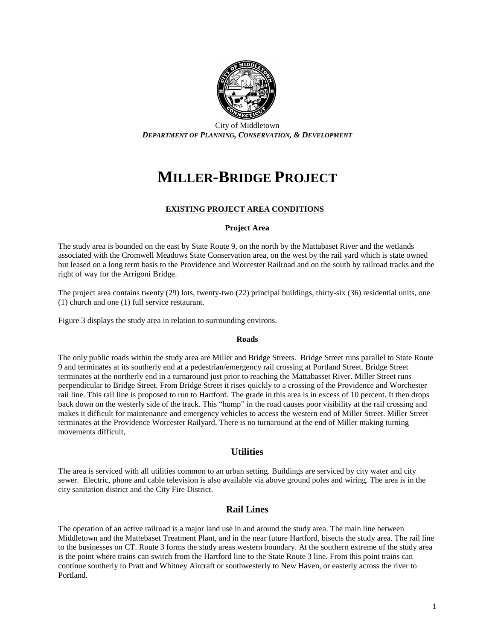

City of Middletown *DEPARTMENT OF PLANNING, CONSERVATION, & DEVELOPMENT*

# **MILLER-BRIDGE PROJECT**

### **EXISTING PROJECT AREA CONDITIONS**

#### **Project Area**

The study area is bounded on the east by State Route 9, on the north by the Mattabaset River and the wetlands associated with the Cromwell Meadows State Conservation area, on the west by the rail yard which is state owned but leased on a long term basis to the Providence and Worcester Railroad and on the south by railroad tracks and the right of way for the Arrigoni Bridge.

The project area contains twenty (29) lots, twenty-two (22) principal buildings, thirty-six (36) residential units, one (1) church and one (1) full service restaurant.

Figure 3 displays the study area in relation to surrounding environs.

#### **Roads**

The only public roads within the study area are Miller and Bridge Streets. Bridge Street runs parallel to State Route 9 and terminates at its southerly end at a pedestrian/emergency rail crossing at Portland Street. Bridge Street terminates at the northerly end in a turnaround just prior to reaching the Mattabasset River. Miller Street runs perpendicular to Bridge Street. From Bridge Street it rises quickly to a crossing of the Providence and Worchester rail line. This rail line is proposed to run to Hartford. The grade in this area is in excess of 10 percent. It then drops back down on the westerly side of the track. This "hump" in the road causes poor visibility at the rail crossing and makes it difficult for maintenance and emergency vehicles to access the western end of Miller Street. Miller Street terminates at the Providence Worcester Railyard, There is no turnaround at the end of Miller making turning movements difficult,

### **Utilities**

The area is serviced with all utilities common to an urban setting. Buildings are serviced by city water and city sewer. Electric, phone and cable television is also available via above ground poles and wiring. The area is in the city sanitation district and the City Fire District.

### **Rail Lines**

The operation of an active railroad is a major land use in and around the study area. The main line between Middletown and the Mattebaset Treatment Plant, and in the near future Hartford, bisects the study area. The rail line to the businesses on CT. Route 3 forms the study areas western boundary. At the southern extreme of the study area is the point where trains can switch from the Hartford line to the State Route 3 line. From this point trains can continue southerly to Pratt and Whitney Aircraft or southwesterly to New Haven, or easterly across the river to Portland.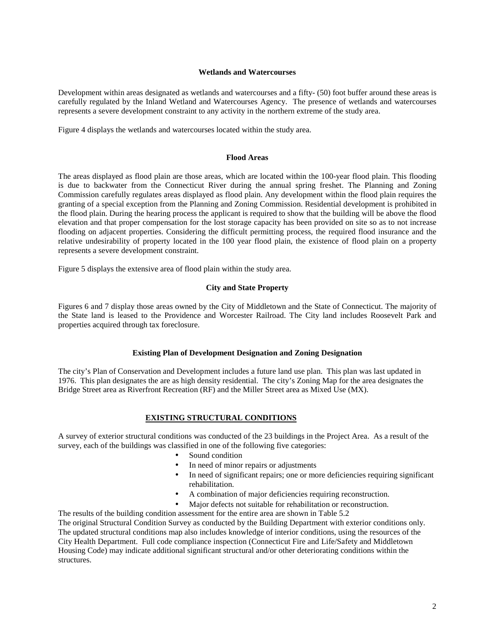#### **Wetlands and Watercourses**

Development within areas designated as wetlands and watercourses and a fifty- (50) foot buffer around these areas is carefully regulated by the Inland Wetland and Watercourses Agency. The presence of wetlands and watercourses represents a severe development constraint to any activity in the northern extreme of the study area.

Figure 4 displays the wetlands and watercourses located within the study area.

#### **Flood Areas**

The areas displayed as flood plain are those areas, which are located within the 100-year flood plain. This flooding is due to backwater from the Connecticut River during the annual spring freshet. The Planning and Zoning Commission carefully regulates areas displayed as flood plain. Any development within the flood plain requires the granting of a special exception from the Planning and Zoning Commission. Residential development is prohibited in the flood plain. During the hearing process the applicant is required to show that the building will be above the flood elevation and that proper compensation for the lost storage capacity has been provided on site so as to not increase flooding on adjacent properties. Considering the difficult permitting process, the required flood insurance and the relative undesirability of property located in the 100 year flood plain, the existence of flood plain on a property represents a severe development constraint.

Figure 5 displays the extensive area of flood plain within the study area.

#### **City and State Property**

Figures 6 and 7 display those areas owned by the City of Middletown and the State of Connecticut. The majority of the State land is leased to the Providence and Worcester Railroad. The City land includes Roosevelt Park and properties acquired through tax foreclosure.

#### **Existing Plan of Development Designation and Zoning Designation**

The city's Plan of Conservation and Development includes a future land use plan. This plan was last updated in 1976. This plan designates the are as high density residential. The city's Zoning Map for the area designates the Bridge Street area as Riverfront Recreation (RF) and the Miller Street area as Mixed Use (MX).

#### **EXISTING STRUCTURAL CONDITIONS**

A survey of exterior structural conditions was conducted of the 23 buildings in the Project Area. As a result of the survey, each of the buildings was classified in one of the following five categories:

- Sound condition
- In need of minor repairs or adjustments
- In need of significant repairs; one or more deficiencies requiring significant rehabilitation.
- A combination of major deficiencies requiring reconstruction.
- Major defects not suitable for rehabilitation or reconstruction.

The results of the building condition assessment for the entire area are shown in Table 5.2

The original Structural Condition Survey as conducted by the Building Department with exterior conditions only. The updated structural conditions map also includes knowledge of interior conditions, using the resources of the City Health Department. Full code compliance inspection (Connecticut Fire and Life/Safety and Middletown Housing Code) may indicate additional significant structural and/or other deteriorating conditions within the structures.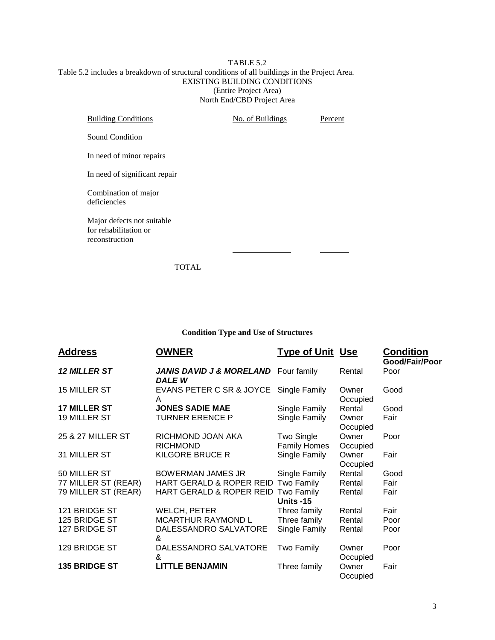#### TABLE 5.2 Table 5.2 includes a breakdown of structural conditions of all buildings in the Project Area. EXISTING BUILDING CONDITIONS (Entire Project Area) North End/CBD Project Area

| <b>Building Conditions</b>                                            | No. of Buildings | Percent |
|-----------------------------------------------------------------------|------------------|---------|
| Sound Condition                                                       |                  |         |
| In need of minor repairs                                              |                  |         |
| In need of significant repair                                         |                  |         |
| Combination of major<br>deficiencies                                  |                  |         |
| Major defects not suitable<br>for rehabilitation or<br>reconstruction |                  |         |
|                                                                       |                  |         |

TOTAL

### **Condition Type and Use of Structures**

| <b>Address</b>      | <b>OWNER</b>                                         | <b>Type of Unit Use</b>           |                   | <b>Condition</b><br>Good/Fair/Poor |
|---------------------|------------------------------------------------------|-----------------------------------|-------------------|------------------------------------|
| <b>12 MILLER ST</b> | <b>JANIS DAVID J &amp; MORELAND</b><br><b>DALE W</b> | Four family                       | Rental            | Poor                               |
| 15 MILLER ST        | EVANS PETER C SR & JOYCE<br>A                        | Single Family                     | Owner<br>Occupied | Good                               |
| <b>17 MILLER ST</b> | <b>JONES SADIE MAE</b>                               | Single Family                     | Rental            | Good                               |
| 19 MILLER ST        | <b>TURNER ERENCE P</b>                               | Single Family                     | Owner<br>Occupied | Fair                               |
| 25 & 27 MILLER ST   | RICHMOND JOAN AKA<br><b>RICHMOND</b>                 | Two Single<br><b>Family Homes</b> | Owner<br>Occupied | Poor                               |
| 31 MILLER ST        | KILGORE BRUCE R                                      | Single Family                     | Owner<br>Occupied | Fair                               |
| 50 MILLER ST        | <b>BOWERMAN JAMES JR</b>                             | Single Family                     | Rental            | Good                               |
| 77 MILLER ST (REAR) | HART GERALD & ROPER REID                             | Two Family                        | Rental            | Fair                               |
| 79 MILLER ST (REAR) | HART GERALD & ROPER REID                             | Two Family<br>Units -15           | Rental            | Fair                               |
| 121 BRIDGE ST       | <b>WELCH, PETER</b>                                  | Three family                      | Rental            | Fair                               |
| 125 BRIDGE ST       | <b>MCARTHUR RAYMOND L</b>                            | Three family                      | Rental            | Poor                               |
| 127 BRIDGE ST       | DALESSANDRO SALVATORE<br>&                           | Single Family                     | Rental            | Poor                               |
| 129 BRIDGE ST       | DALESSANDRO SALVATORE<br>&                           | Two Family                        | Owner<br>Occupied | Poor                               |
| 135 BRIDGE ST       | <b>LITTLE BENJAMIN</b>                               | Three family                      | Owner<br>Occupied | Fair                               |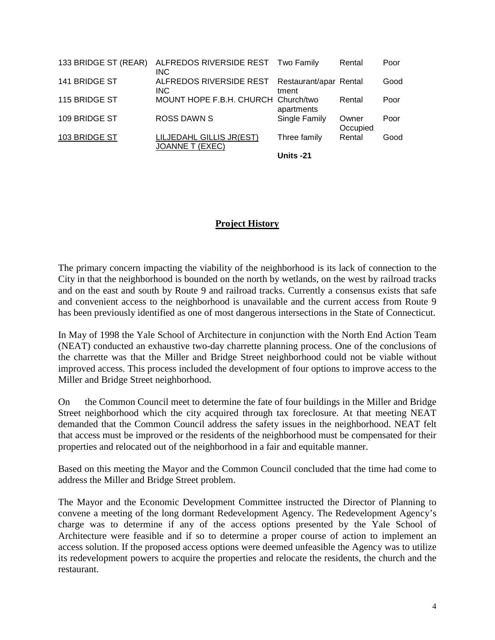| 133 BRIDGE ST (REAR) | ALFREDOS RIVERSIDE REST Two Family<br><b>INC</b>   |                                 | Rental            | Poor |
|----------------------|----------------------------------------------------|---------------------------------|-------------------|------|
| 141 BRIDGE ST        | ALFREDOS RIVERSIDE REST<br><b>INC</b>              | Restaurant/apar Rental<br>tment |                   | Good |
| 115 BRIDGE ST        | MOUNT HOPE F.B.H. CHURCH Church/two                | apartments                      | Rental            | Poor |
| 109 BRIDGE ST        | <b>ROSS DAWN S</b>                                 | Single Family                   | Owner<br>Occupied | Poor |
| 103 BRIDGE ST        | LILJEDAHL GILLIS JR(EST)<br><b>JOANNE T (EXEC)</b> | Three family                    | Rental            | Good |
|                      |                                                    | Units -21                       |                   |      |

### **Project History**

The primary concern impacting the viability of the neighborhood is its lack of connection to the City in that the neighborhood is bounded on the north by wetlands, on the west by railroad tracks and on the east and south by Route 9 and railroad tracks. Currently a consensus exists that safe and convenient access to the neighborhood is unavailable and the current access from Route 9 has been previously identified as one of most dangerous intersections in the State of Connecticut.

In May of 1998 the Yale School of Architecture in conjunction with the North End Action Team (NEAT) conducted an exhaustive two-day charrette planning process. One of the conclusions of the charrette was that the Miller and Bridge Street neighborhood could not be viable without improved access. This process included the development of four options to improve access to the Miller and Bridge Street neighborhood.

On the Common Council meet to determine the fate of four buildings in the Miller and Bridge Street neighborhood which the city acquired through tax foreclosure. At that meeting NEAT demanded that the Common Council address the safety issues in the neighborhood. NEAT felt that access must be improved or the residents of the neighborhood must be compensated for their properties and relocated out of the neighborhood in a fair and equitable manner.

Based on this meeting the Mayor and the Common Council concluded that the time had come to address the Miller and Bridge Street problem.

The Mayor and the Economic Development Committee instructed the Director of Planning to convene a meeting of the long dormant Redevelopment Agency. The Redevelopment Agency's charge was to determine if any of the access options presented by the Yale School of Architecture were feasible and if so to determine a proper course of action to implement an access solution. If the proposed access options were deemed unfeasible the Agency was to utilize its redevelopment powers to acquire the properties and relocate the residents, the church and the restaurant.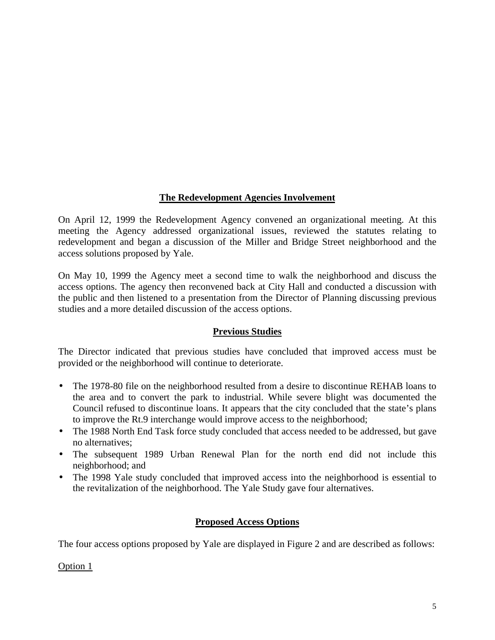# **The Redevelopment Agencies Involvement**

On April 12, 1999 the Redevelopment Agency convened an organizational meeting. At this meeting the Agency addressed organizational issues, reviewed the statutes relating to redevelopment and began a discussion of the Miller and Bridge Street neighborhood and the access solutions proposed by Yale.

On May 10, 1999 the Agency meet a second time to walk the neighborhood and discuss the access options. The agency then reconvened back at City Hall and conducted a discussion with the public and then listened to a presentation from the Director of Planning discussing previous studies and a more detailed discussion of the access options.

# **Previous Studies**

The Director indicated that previous studies have concluded that improved access must be provided or the neighborhood will continue to deteriorate.

- The 1978-80 file on the neighborhood resulted from a desire to discontinue REHAB loans to the area and to convert the park to industrial. While severe blight was documented the Council refused to discontinue loans. It appears that the city concluded that the state's plans to improve the Rt.9 interchange would improve access to the neighborhood;
- The 1988 North End Task force study concluded that access needed to be addressed, but gave no alternatives;
- The subsequent 1989 Urban Renewal Plan for the north end did not include this neighborhood; and
- The 1998 Yale study concluded that improved access into the neighborhood is essential to the revitalization of the neighborhood. The Yale Study gave four alternatives.

# **Proposed Access Options**

The four access options proposed by Yale are displayed in Figure 2 and are described as follows:

Option 1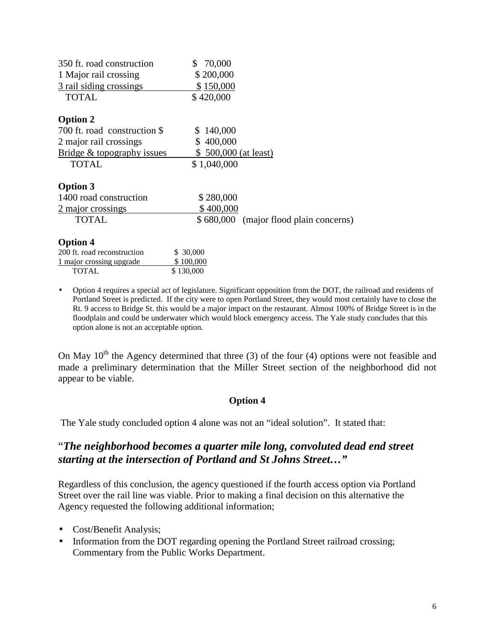| 350 ft. road construction<br>1 Major rail crossing | 70,000<br>\$200,000                    |
|----------------------------------------------------|----------------------------------------|
| 3 rail siding crossings<br><b>TOTAL</b>            | \$150,000<br>\$420,000                 |
| <b>Option 2</b>                                    |                                        |
| 700 ft. road construction \$                       | \$140,000                              |
| 2 major rail crossings                             | \$400,000                              |
| Bridge & topography issues                         | $$500,000$ (at least)                  |
| <b>TOTAL</b>                                       | \$1,040,000                            |
| <b>Option 3</b>                                    |                                        |
| 1400 road construction                             | \$280,000                              |
| 2 major crossings                                  | \$400,000                              |
| <b>TOTAL</b>                                       | \$680,000 (major flood plain concerns) |
| <b>Option 4</b>                                    |                                        |
| 200 ft. road reconstruction                        | \$ 30,000                              |
| 1 major crossing upgrade                           | \$100,000                              |

• Option 4 requires a special act of legislature. Significant opposition from the DOT, the railroad and residents of Portland Street is predicted. If the city were to open Portland Street, they would most certainly have to close the Rt. 9 access to Bridge St. this would be a major impact on the restaurant. Almost 100% of Bridge Street is in the floodplain and could be underwater which would block emergency access. The Yale study concludes that this option alone is not an acceptable option.

On May  $10^{th}$  the Agency determined that three (3) of the four (4) options were not feasible and made a preliminary determination that the Miller Street section of the neighborhood did not appear to be viable.

# **Option 4**

The Yale study concluded option 4 alone was not an "ideal solution". It stated that:

# "*The neighborhood becomes a quarter mile long, convoluted dead end street starting at the intersection of Portland and St Johns Street…"*

Regardless of this conclusion, the agency questioned if the fourth access option via Portland Street over the rail line was viable. Prior to making a final decision on this alternative the Agency requested the following additional information;

• Cost/Benefit Analysis;

TOTAL \$130,000

• Information from the DOT regarding opening the Portland Street railroad crossing; Commentary from the Public Works Department.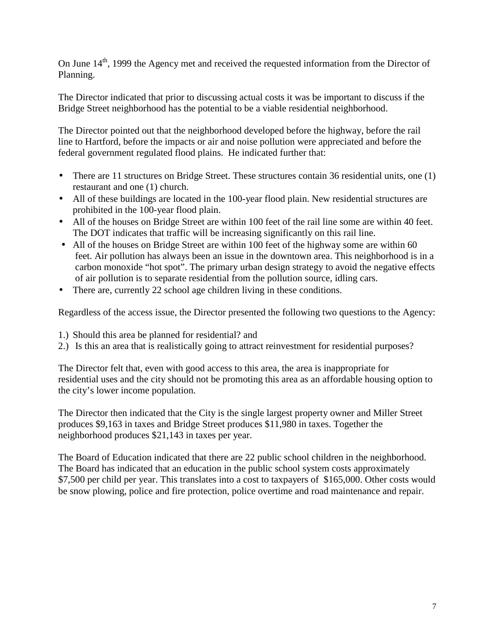On June  $14<sup>th</sup>$ , 1999 the Agency met and received the requested information from the Director of Planning.

The Director indicated that prior to discussing actual costs it was be important to discuss if the Bridge Street neighborhood has the potential to be a viable residential neighborhood.

The Director pointed out that the neighborhood developed before the highway, before the rail line to Hartford, before the impacts or air and noise pollution were appreciated and before the federal government regulated flood plains. He indicated further that:

- There are 11 structures on Bridge Street. These structures contain 36 residential units, one (1) restaurant and one (1) church.
- All of these buildings are located in the 100-year flood plain. New residential structures are prohibited in the 100-year flood plain.
- All of the houses on Bridge Street are within 100 feet of the rail line some are within 40 feet. The DOT indicates that traffic will be increasing significantly on this rail line.
- All of the houses on Bridge Street are within 100 feet of the highway some are within 60 feet. Air pollution has always been an issue in the downtown area. This neighborhood is in a carbon monoxide "hot spot". The primary urban design strategy to avoid the negative effects of air pollution is to separate residential from the pollution source, idling cars.
- There are, currently 22 school age children living in these conditions.

Regardless of the access issue, the Director presented the following two questions to the Agency:

- 1.) Should this area be planned for residential? and
- 2.) Is this an area that is realistically going to attract reinvestment for residential purposes?

The Director felt that, even with good access to this area, the area is inappropriate for residential uses and the city should not be promoting this area as an affordable housing option to the city's lower income population.

The Director then indicated that the City is the single largest property owner and Miller Street produces \$9,163 in taxes and Bridge Street produces \$11,980 in taxes. Together the neighborhood produces \$21,143 in taxes per year.

The Board of Education indicated that there are 22 public school children in the neighborhood. The Board has indicated that an education in the public school system costs approximately \$7,500 per child per year. This translates into a cost to taxpayers of \$165,000. Other costs would be snow plowing, police and fire protection, police overtime and road maintenance and repair.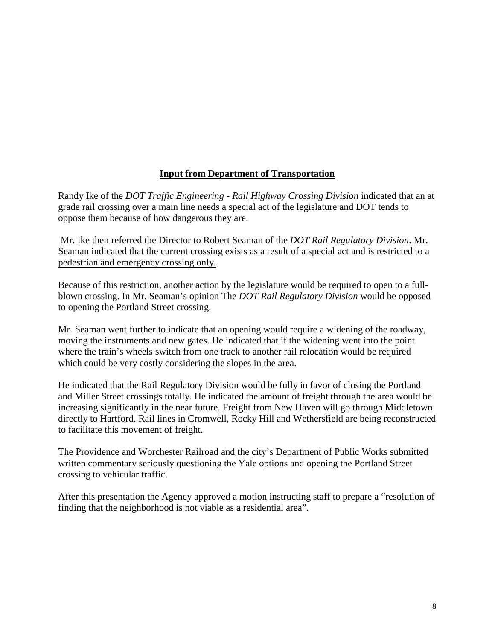# **Input from Department of Transportation**

Randy Ike of the *DOT Traffic Engineering - Rail Highway Crossing Division* indicated that an at grade rail crossing over a main line needs a special act of the legislature and DOT tends to oppose them because of how dangerous they are.

 Mr. Ike then referred the Director to Robert Seaman of the *DOT Rail Regulatory Division*. Mr. Seaman indicated that the current crossing exists as a result of a special act and is restricted to a pedestrian and emergency crossing only.

Because of this restriction, another action by the legislature would be required to open to a fullblown crossing. In Mr. Seaman's opinion The *DOT Rail Regulatory Division* would be opposed to opening the Portland Street crossing.

Mr. Seaman went further to indicate that an opening would require a widening of the roadway, moving the instruments and new gates. He indicated that if the widening went into the point where the train's wheels switch from one track to another rail relocation would be required which could be very costly considering the slopes in the area.

He indicated that the Rail Regulatory Division would be fully in favor of closing the Portland and Miller Street crossings totally. He indicated the amount of freight through the area would be increasing significantly in the near future. Freight from New Haven will go through Middletown directly to Hartford. Rail lines in Cromwell, Rocky Hill and Wethersfield are being reconstructed to facilitate this movement of freight.

The Providence and Worchester Railroad and the city's Department of Public Works submitted written commentary seriously questioning the Yale options and opening the Portland Street crossing to vehicular traffic.

After this presentation the Agency approved a motion instructing staff to prepare a "resolution of finding that the neighborhood is not viable as a residential area".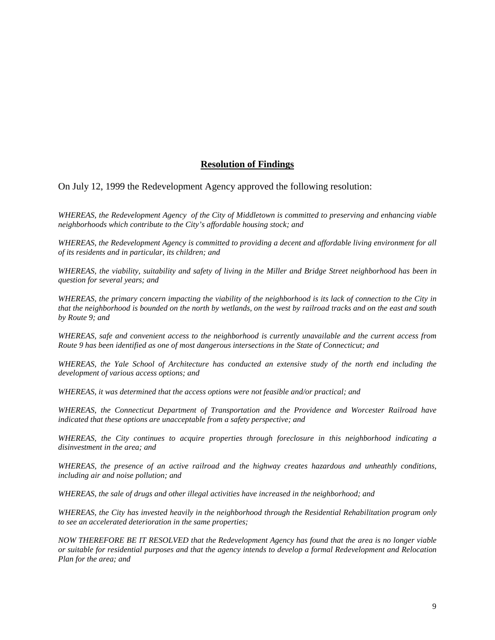### **Resolution of Findings**

On July 12, 1999 the Redevelopment Agency approved the following resolution:

*WHEREAS, the Redevelopment Agency of the City of Middletown is committed to preserving and enhancing viable neighborhoods which contribute to the City's affordable housing stock; and* 

*WHEREAS, the Redevelopment Agency is committed to providing a decent and affordable living environment for all of its residents and in particular, its children; and* 

*WHEREAS, the viability, suitability and safety of living in the Miller and Bridge Street neighborhood has been in question for several years; and* 

*WHEREAS, the primary concern impacting the viability of the neighborhood is its lack of connection to the City in that the neighborhood is bounded on the north by wetlands, on the west by railroad tracks and on the east and south by Route 9; and* 

*WHEREAS, safe and convenient access to the neighborhood is currently unavailable and the current access from Route 9 has been identified as one of most dangerous intersections in the State of Connecticut; and* 

*WHEREAS, the Yale School of Architecture has conducted an extensive study of the north end including the development of various access options; and* 

*WHEREAS, it was determined that the access options were not feasible and/or practical; and* 

*WHEREAS, the Connecticut Department of Transportation and the Providence and Worcester Railroad have indicated that these options are unacceptable from a safety perspective; and* 

*WHEREAS, the City continues to acquire properties through foreclosure in this neighborhood indicating a disinvestment in the area; and* 

*WHEREAS, the presence of an active railroad and the highway creates hazardous and unheathly conditions, including air and noise pollution; and* 

*WHEREAS, the sale of drugs and other illegal activities have increased in the neighborhood; and* 

*WHEREAS, the City has invested heavily in the neighborhood through the Residential Rehabilitation program only to see an accelerated deterioration in the same properties;* 

*NOW THEREFORE BE IT RESOLVED that the Redevelopment Agency has found that the area is no longer viable or suitable for residential purposes and that the agency intends to develop a formal Redevelopment and Relocation Plan for the area; and*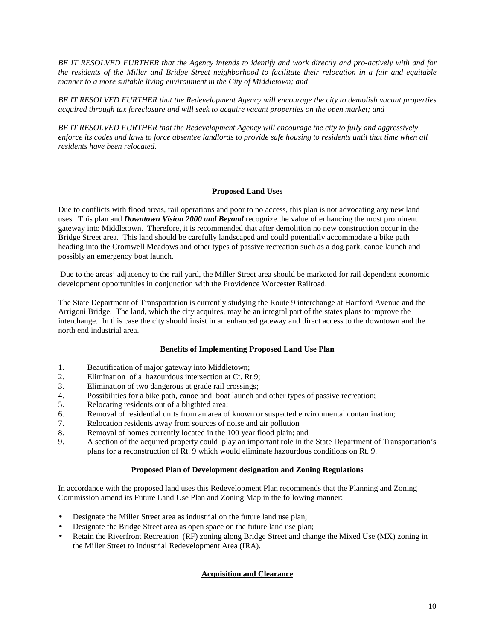*BE IT RESOLVED FURTHER that the Agency intends to identify and work directly and pro-actively with and for the residents of the Miller and Bridge Street neighborhood to facilitate their relocation in a fair and equitable manner to a more suitable living environment in the City of Middletown; and* 

*BE IT RESOLVED FURTHER that the Redevelopment Agency will encourage the city to demolish vacant properties acquired through tax foreclosure and will seek to acquire vacant properties on the open market; and* 

*BE IT RESOLVED FURTHER that the Redevelopment Agency will encourage the city to fully and aggressively enforce its codes and laws to force absentee landlords to provide safe housing to residents until that time when all residents have been relocated.* 

#### **Proposed Land Uses**

Due to conflicts with flood areas, rail operations and poor to no access, this plan is not advocating any new land uses. This plan and *Downtown Vision 2000 and Beyond* recognize the value of enhancing the most prominent gateway into Middletown. Therefore, it is recommended that after demolition no new construction occur in the Bridge Street area. This land should be carefully landscaped and could potentially accommodate a bike path heading into the Cromwell Meadows and other types of passive recreation such as a dog park, canoe launch and possibly an emergency boat launch.

 Due to the areas' adjacency to the rail yard, the Miller Street area should be marketed for rail dependent economic development opportunities in conjunction with the Providence Worcester Railroad.

The State Department of Transportation is currently studying the Route 9 interchange at Hartford Avenue and the Arrigoni Bridge. The land, which the city acquires, may be an integral part of the states plans to improve the interchange. In this case the city should insist in an enhanced gateway and direct access to the downtown and the north end industrial area.

#### **Benefits of Implementing Proposed Land Use Plan**

- 1. Beautification of major gateway into Middletown;
- 2. Elimination of a hazourdous intersection at Ct. Rt.9;
- 3. Elimination of two dangerous at grade rail crossings;
- 4. Possibilities for a bike path, canoe and boat launch and other types of passive recreation;<br>5. Relocating residents out of a blighted area:
- Relocating residents out of a bligthted area;
- 6. Removal of residential units from an area of known or suspected environmental contamination;
- 7. Relocation residents away from sources of noise and air pollution
- 8. Removal of homes currently located in the 100 year flood plain; and
- 9. A section of the acquired property could play an important role in the State Department of Transportation's plans for a reconstruction of Rt. 9 which would eliminate hazourdous conditions on Rt. 9.

#### **Proposed Plan of Development designation and Zoning Regulations**

In accordance with the proposed land uses this Redevelopment Plan recommends that the Planning and Zoning Commission amend its Future Land Use Plan and Zoning Map in the following manner:

- Designate the Miller Street area as industrial on the future land use plan;
- Designate the Bridge Street area as open space on the future land use plan;
- Retain the Riverfront Recreation (RF) zoning along Bridge Street and change the Mixed Use (MX) zoning in the Miller Street to Industrial Redevelopment Area (IRA).

#### **Acquisition and Clearance**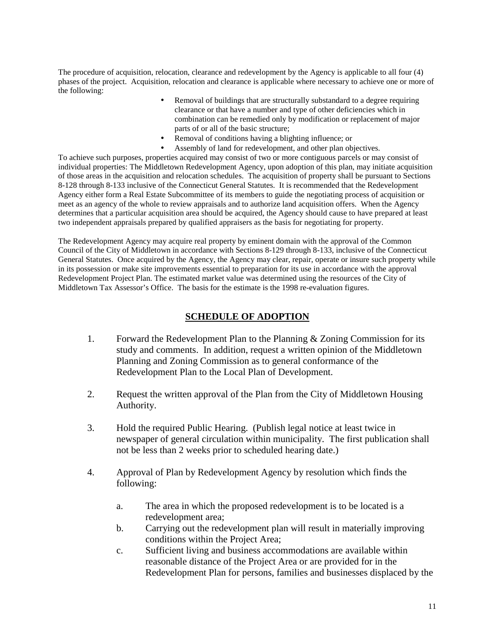The procedure of acquisition, relocation, clearance and redevelopment by the Agency is applicable to all four (4) phases of the project. Acquisition, relocation and clearance is applicable where necessary to achieve one or more of the following:

- Removal of buildings that are structurally substandard to a degree requiring clearance or that have a number and type of other deficiencies which in combination can be remedied only by modification or replacement of major parts of or all of the basic structure;
- Removal of conditions having a blighting influence; or
- Assembly of land for redevelopment, and other plan objectives.

To achieve such purposes, properties acquired may consist of two or more contiguous parcels or may consist of individual properties: The Middletown Redevelopment Agency, upon adoption of this plan, may initiate acquisition of those areas in the acquisition and relocation schedules. The acquisition of property shall be pursuant to Sections 8-128 through 8-133 inclusive of the Connecticut General Statutes. It is recommended that the Redevelopment Agency either form a Real Estate Subcommittee of its members to guide the negotiating process of acquisition or meet as an agency of the whole to review appraisals and to authorize land acquisition offers. When the Agency determines that a particular acquisition area should be acquired, the Agency should cause to have prepared at least two independent appraisals prepared by qualified appraisers as the basis for negotiating for property.

The Redevelopment Agency may acquire real property by eminent domain with the approval of the Common Council of the City of Middletown in accordance with Sections 8-129 through 8-133, inclusive of the Connecticut General Statutes. Once acquired by the Agency, the Agency may clear, repair, operate or insure such property while in its possession or make site improvements essential to preparation for its use in accordance with the approval Redevelopment Project Plan. The estimated market value was determined using the resources of the City of Middletown Tax Assessor's Office. The basis for the estimate is the 1998 re-evaluation figures.

# **SCHEDULE OF ADOPTION**

- 1. Forward the Redevelopment Plan to the Planning & Zoning Commission for its study and comments. In addition, request a written opinion of the Middletown Planning and Zoning Commission as to general conformance of the Redevelopment Plan to the Local Plan of Development.
- 2. Request the written approval of the Plan from the City of Middletown Housing Authority.
- 3. Hold the required Public Hearing. (Publish legal notice at least twice in newspaper of general circulation within municipality. The first publication shall not be less than 2 weeks prior to scheduled hearing date.)
- 4. Approval of Plan by Redevelopment Agency by resolution which finds the following:
	- a. The area in which the proposed redevelopment is to be located is a redevelopment area;
	- b. Carrying out the redevelopment plan will result in materially improving conditions within the Project Area;
	- c. Sufficient living and business accommodations are available within reasonable distance of the Project Area or are provided for in the Redevelopment Plan for persons, families and businesses displaced by the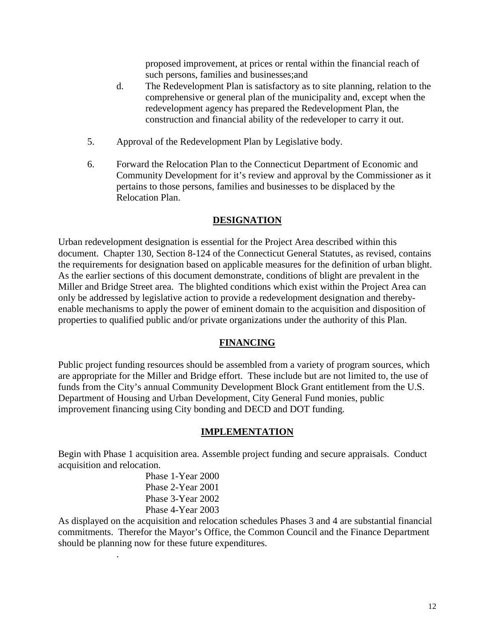proposed improvement, at prices or rental within the financial reach of such persons, families and businesses;and

- d. The Redevelopment Plan is satisfactory as to site planning, relation to the comprehensive or general plan of the municipality and, except when the redevelopment agency has prepared the Redevelopment Plan, the construction and financial ability of the redeveloper to carry it out.
- 5. Approval of the Redevelopment Plan by Legislative body.
- 6. Forward the Relocation Plan to the Connecticut Department of Economic and Community Development for it's review and approval by the Commissioner as it pertains to those persons, families and businesses to be displaced by the Relocation Plan.

# **DESIGNATION**

Urban redevelopment designation is essential for the Project Area described within this document. Chapter 130, Section 8-124 of the Connecticut General Statutes, as revised, contains the requirements for designation based on applicable measures for the definition of urban blight. As the earlier sections of this document demonstrate, conditions of blight are prevalent in the Miller and Bridge Street area. The blighted conditions which exist within the Project Area can only be addressed by legislative action to provide a redevelopment designation and therebyenable mechanisms to apply the power of eminent domain to the acquisition and disposition of properties to qualified public and/or private organizations under the authority of this Plan.

# **FINANCING**

Public project funding resources should be assembled from a variety of program sources, which are appropriate for the Miller and Bridge effort. These include but are not limited to, the use of funds from the City's annual Community Development Block Grant entitlement from the U.S. Department of Housing and Urban Development, City General Fund monies, public improvement financing using City bonding and DECD and DOT funding.

# **IMPLEMENTATION**

Begin with Phase 1 acquisition area. Assemble project funding and secure appraisals. Conduct acquisition and relocation.

 Phase 1-Year 2000 Phase 2-Year 2001 Phase 3-Year 2002 Phase 4-Year 2003

.

As displayed on the acquisition and relocation schedules Phases 3 and 4 are substantial financial commitments. Therefor the Mayor's Office, the Common Council and the Finance Department should be planning now for these future expenditures.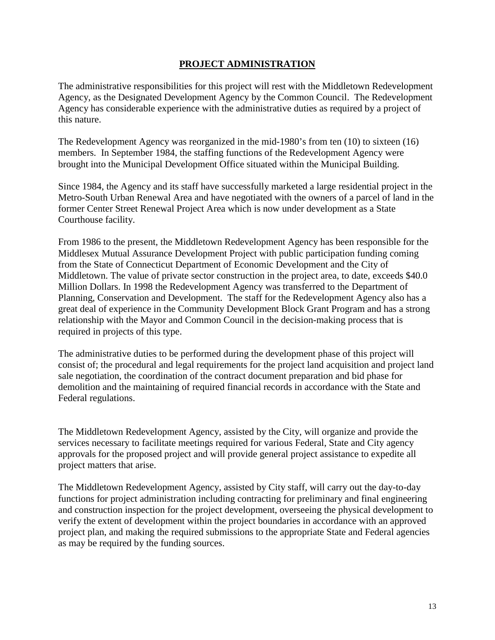### **PROJECT ADMINISTRATION**

The administrative responsibilities for this project will rest with the Middletown Redevelopment Agency, as the Designated Development Agency by the Common Council. The Redevelopment Agency has considerable experience with the administrative duties as required by a project of this nature.

The Redevelopment Agency was reorganized in the mid-1980's from ten (10) to sixteen (16) members. In September 1984, the staffing functions of the Redevelopment Agency were brought into the Municipal Development Office situated within the Municipal Building.

Since 1984, the Agency and its staff have successfully marketed a large residential project in the Metro-South Urban Renewal Area and have negotiated with the owners of a parcel of land in the former Center Street Renewal Project Area which is now under development as a State Courthouse facility.

From 1986 to the present, the Middletown Redevelopment Agency has been responsible for the Middlesex Mutual Assurance Development Project with public participation funding coming from the State of Connecticut Department of Economic Development and the City of Middletown. The value of private sector construction in the project area, to date, exceeds \$40.0 Million Dollars. In 1998 the Redevelopment Agency was transferred to the Department of Planning, Conservation and Development. The staff for the Redevelopment Agency also has a great deal of experience in the Community Development Block Grant Program and has a strong relationship with the Mayor and Common Council in the decision-making process that is required in projects of this type.

The administrative duties to be performed during the development phase of this project will consist of; the procedural and legal requirements for the project land acquisition and project land sale negotiation, the coordination of the contract document preparation and bid phase for demolition and the maintaining of required financial records in accordance with the State and Federal regulations.

The Middletown Redevelopment Agency, assisted by the City, will organize and provide the services necessary to facilitate meetings required for various Federal, State and City agency approvals for the proposed project and will provide general project assistance to expedite all project matters that arise.

The Middletown Redevelopment Agency, assisted by City staff, will carry out the day-to-day functions for project administration including contracting for preliminary and final engineering and construction inspection for the project development, overseeing the physical development to verify the extent of development within the project boundaries in accordance with an approved project plan, and making the required submissions to the appropriate State and Federal agencies as may be required by the funding sources.